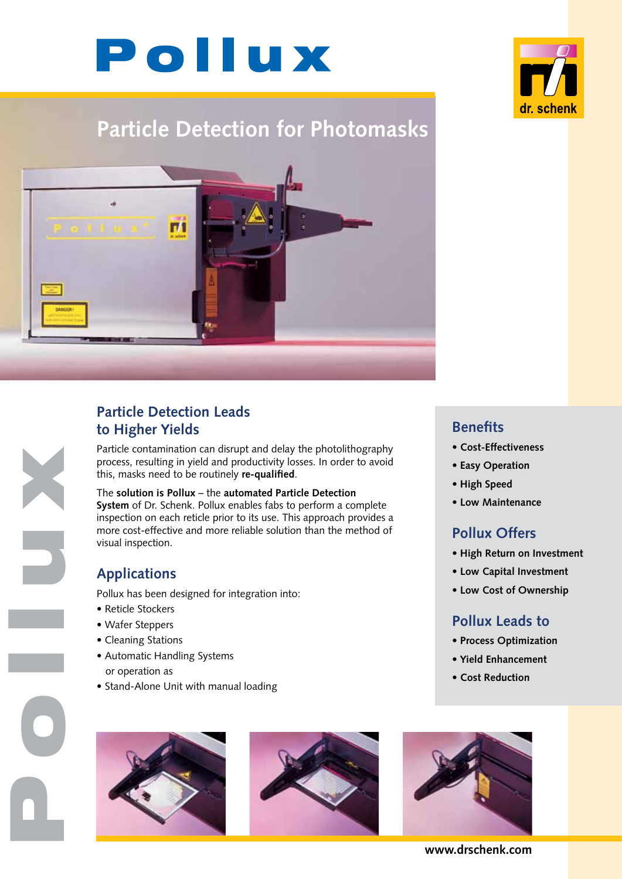# Pollux



# **Particle Detection for Photomasks**



## **Particle Detection Leads to Higher Yields**

Particle contamination can disrupt and delay the photolithography process, resulting in yield and productivity losses. In order to avoid this, masks need to be routinely **re-qualified**.

#### The **solution is Pollux** – the **automated Particle Detection**

**System** of Dr. Schenk. Pollux enables fabs to perform a complete inspection on each reticle prior to its use. This approach provides a more cost-effective and more reliable solution than the method of visual inspection.

# **Applications**

Pollux has been designed for integration into:

- Reticle Stockers
- Wafer Steppers
- Cleaning Stations

Pollux N

- Automatic Handling Systems
- or operation as
- Stand-Alone Unit with manual loading







- **Cost-Effectiveness**
- **Easy Operation**
- **High Speed**
- **Low Maintenance**

#### **Pollux Offers**

- **High Return on Investment**
- **Low Capital Investment**
- **Low Cost of Ownership**

#### **Pollux Leads to**

- **Process Optimization**
- **Yield Enhancement**
- **Cost Reduction**